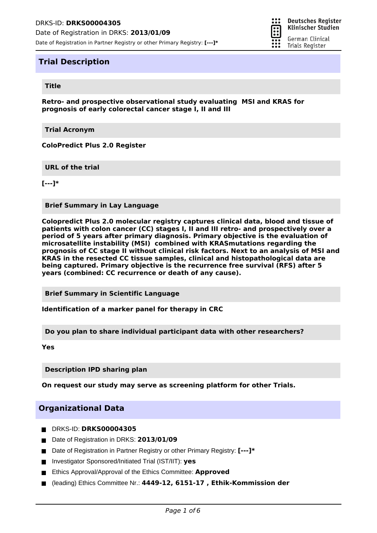

### **Title**

**Retro- and prospective observational study evaluating MSI and KRAS for prognosis of early colorectal cancer stage I, II and III**

።

π

**Deutsches Register** Klinischer Studien

German Clinical Trials Register

**Trial Acronym**

**ColoPredict Plus 2.0 Register**

**URL of the trial**

**[---]\***

**Brief Summary in Lay Language**

**Colopredict Plus 2.0 molecular registry captures clinical data, blood and tissue of patients with colon cancer (CC) stages I, II and III retro- and prospectively over a period of 5 years after primary diagnosis. Primary objective is the evaluation of microsatellite instability (MSI) combined with KRASmutations regarding the prognosis of CC stage II without clinical risk factors. Next to an analysis of MSI and KRAS in the resected CC tissue samples, clinical and histopathological data are being captured. Primary objective is the recurrence free survival (RFS) after 5 years (combined: CC recurrence or death of any cause).**

**Brief Summary in Scientific Language**

**Identification of a marker panel for therapy in CRC**

**Do you plan to share individual participant data with other researchers?**

**Yes**

**Description IPD sharing plan**

**On request our study may serve as screening platform for other Trials.**

### **Organizational Data**

- DRKS-ID: **DRKS00004305**
- Date of Registration in DRKS: 2013/01/09
- Date of Registration in Partner Registry or other Primary Registry: **[---]**\*
- Investigator Sponsored/Initiated Trial (IST/IIT): yes
- **Ethics Approval/Approval of the Ethics Committee: Approved**
- (leading) Ethics Committee Nr.: **4449-12, 6151-17 , Ethik-Kommission der**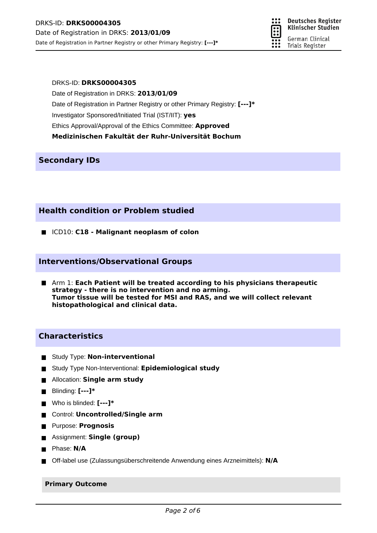**Deutsches Register** Klinischer Studien German Clinical Trials Register

### DRKS-ID: **DRKS00004305**

Date of Registration in DRKS: **2013/01/09** Date of Registration in Partner Registry or other Primary Registry: **[---]\*** Investigator Sponsored/Initiated Trial (IST/IIT): **yes** Ethics Approval/Approval of the Ethics Committee: **Approved Medizinischen Fakultät der Ruhr-Universität Bochum**

# **Secondary IDs**

# **Health condition or Problem studied**

ICD10: **C18 - Malignant neoplasm of colon**

## **Interventions/Observational Groups**

Arm 1: **Each Patient will be treated according to his physicians therapeutic strategy - there is no intervention and no arming. Tumor tissue will be tested for MSI and RAS, and we will collect relevant histopathological and clinical data.**

# **Characteristics**

- **Study Type: Non-interventional**
- Study Type Non-Interventional: **Epidemiological study**
- **E** Allocation: **Single arm study**
- Blinding: **[---]\***
- Who is blinded: **[---]\***
- Control: **Uncontrolled/Single arm**
- Purpose: **Prognosis**
- Assignment: **Single (group)**
- **Phase: N/A**
- Off-label use (Zulassungsüberschreitende Anwendung eines Arzneimittels): **N/A**

### **Primary Outcome**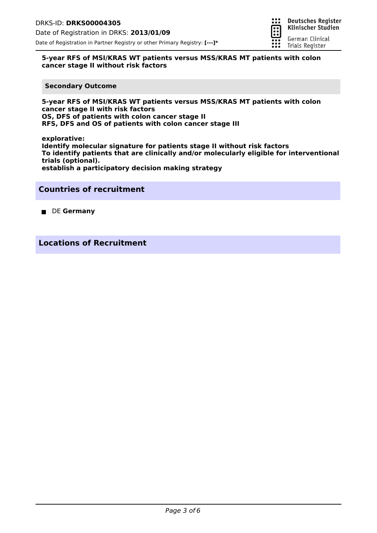

### **5-year RFS of MSI/KRAS WT patients versus MSS/KRAS MT patients with colon cancer stage II without risk factors**

#### **Secondary Outcome**

**5-year RFS of MSI/KRAS WT patients versus MSS/KRAS MT patients with colon cancer stage II with risk factors OS, DFS of patients with colon cancer stage II RFS, DFS and OS of patients with colon cancer stage III**

**explorative: Identify molecular signature for patients stage II without risk factors To identify patients that are clinically and/or molecularly eligible for interventional trials (optional). establish a participatory decision making strategy**

## **Countries of recruitment**

**DE Germany** 

**Locations of Recruitment**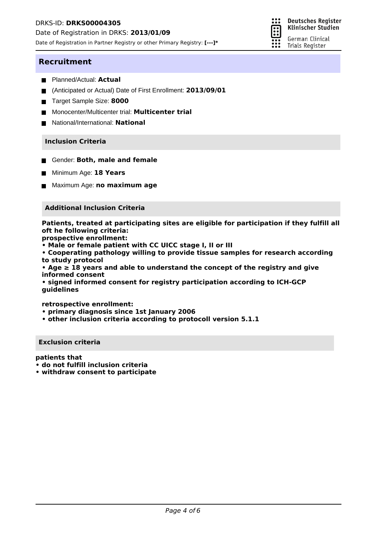Date of Registration in DRKS: **2013/01/09**

Date of Registration in Partner Registry or other Primary Registry: **[---]\***



### **Recruitment**

- Planned/Actual: **Actual**
- (Anticipated or Actual) Date of First Enrollment: **2013/09/01**
- Target Sample Size: 8000
- Monocenter/Multicenter trial: **Multicenter trial**
- National/International: **National**

### **Inclusion Criteria**

- **E** Gender: **Both, male and female**
- Minimum Age: **18 Years**
- Maximum Age: **no maximum age**

### **Additional Inclusion Criteria**

**Patients, treated at participating sites are eligible for participation if they fulfill all oft he following criteria:**

**prospective enrollment:**

**• Male or female patient with CC UICC stage I, II or III**

**• Cooperating pathology willing to provide tissue samples for research according to study protocol**

**• Age ≥ 18 years and able to understand the concept of the registry and give informed consent**

**• signed informed consent for registry participation according to ICH-GCP guidelines**

**retrospective enrollment:**

- **primary diagnosis since 1st January 2006**
- **other inclusion criteria according to protocoll version 5.1.1**

#### **Exclusion criteria**

**patients that**

- **do not fulfill inclusion criteria**
- **withdraw consent to participate**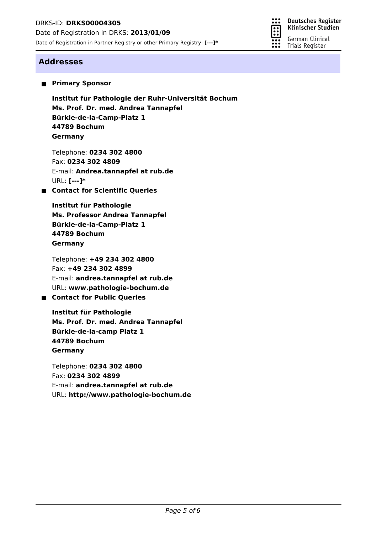

**Deutsches Register** Klinischer Studien

German Clinical **Trials Register** 

# **Addresses**

**Primary Sponsor** 

**Ms. Prof. Dr. med. Andrea Tannapfel Institut für Pathologie der Ruhr-Universität Bochum Bürkle-de-la-Camp-Platz 1 44789 Bochum Germany**

Telephone: **0234 302 4800** Fax: **0234 302 4809** E-mail: **Andrea.tannapfel at rub.de** URL: **[---]\***

**Contact for Scientific Queries**

**Ms. Professor Andrea Tannapfel Institut für Pathologie Bürkle-de-la-Camp-Platz 1 44789 Bochum Germany**

Telephone: **+49 234 302 4800** Fax: **+49 234 302 4899** E-mail: **andrea.tannapfel at rub.de** URL: **www.pathologie-bochum.de**

# **E** Contact for Public Queries

**Ms. Prof. Dr. med. Andrea Tannapfel Institut für Pathologie Bürkle-de-la-camp Platz 1 44789 Bochum Germany**

Telephone: **0234 302 4800** Fax: **0234 302 4899** E-mail: **andrea.tannapfel at rub.de** URL: **http://www.pathologie-bochum.de**